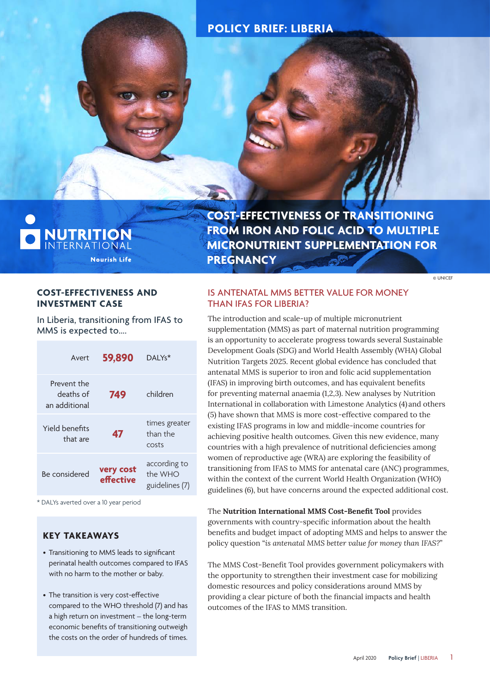# **POLICY BRIEF: LIBERIA**



**COST-EFFECTIVENESS OF TRANSITIONING FROM IRON AND FOLIC ACID TO MULTIPLE MICRONUTRIENT SUPPLEMENTATION FOR PREGNANCY**

© UNICEF

#### **COST-EFFECTIVENESS AND INVESTMENT CASE**

In Liberia, transitioning from IFAS to MMS is expected to….

| Avert                                     | 59,890                 | DAI Ys <sup>*</sup>                       |
|-------------------------------------------|------------------------|-------------------------------------------|
| Prevent the<br>deaths of<br>an additional | 749                    | children                                  |
| Yield benefits<br>that are                | 47                     | times greater<br>than the<br>costs        |
| Be considered                             | very cost<br>effective | according to<br>the WHO<br>guidelines (7) |

\* DALYs averted over a 10 year period

# **KEY TAKEAWAYS**

- Transitioning to MMS leads to significant perinatal health outcomes compared to IFAS with no harm to the mother or baby.
- The transition is very cost-effective compared to the WHO threshold (7) and has a high return on investment – the long-term economic benefits of transitioning outweigh the costs on the order of hundreds of times.

# IS ANTENATAL MMS BETTER VALUE FOR MONEY THAN IFAS FOR LIBERIA?

The introduction and scale-up of multiple micronutrient supplementation (MMS) as part of maternal nutrition programming is an opportunity to accelerate progress towards several Sustainable Development Goals (SDG) and World Health Assembly (WHA) Global Nutrition Targets 2025. Recent global evidence has concluded that antenatal MMS is superior to iron and folic acid supplementation (IFAS) in improving birth outcomes, and has equivalent benefits for preventing maternal anaemia (1,2,3). New analyses by Nutrition International in collaboration with Limestone Analytics (4) and others (5) have shown that MMS is more cost-effective compared to the existing IFAS programs in low and middle-income countries for achieving positive health outcomes. Given this new evidence, many countries with a high prevalence of nutritional deficiencies among women of reproductive age (WRA) are exploring the feasibility of transitioning from IFAS to MMS for antenatal care (ANC) programmes, within the context of the current World Health Organization (WHO) guidelines (6), but have concerns around the expected additional cost.

The **Nutrition International MMS Cost-Benefit Tool** provides governments with country-specific information about the health benefits and budget impact of adopting MMS and helps to answer the policy question "*is antenatal MMS better value for money than IFAS?*"

The MMS Cost-Benefit Tool provides government policymakers with the opportunity to strengthen their investment case for mobilizing domestic resources and policy considerations around MMS by providing a clear picture of both the financial impacts and health outcomes of the IFAS to MMS transition.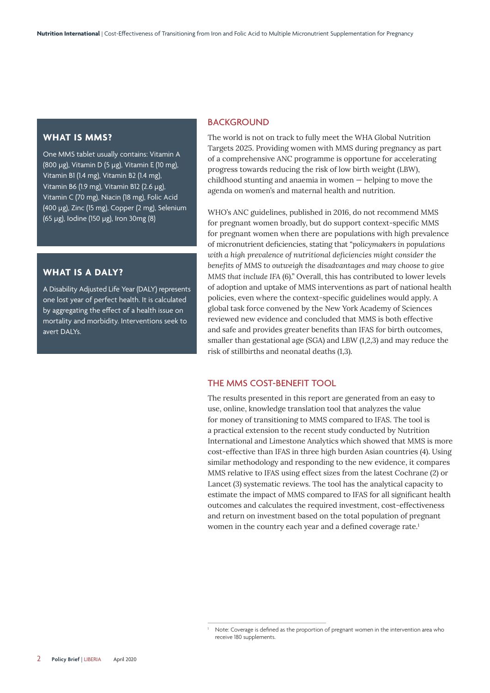#### **WHAT IS MMS?**

One MMS tablet usually contains: Vitamin A (800 µg), Vitamin D (5 µg), Vitamin E (10 mg), Vitamin B1 (1.4 mg), Vitamin B2 (1.4 mg), Vitamin B6 (1.9 mg), Vitamin B12 (2.6 µg), Vitamin C (70 mg), Niacin (18 mg), Folic Acid (400 µg), Zinc (15 mg), Copper (2 mg), Selenium (65 µg), Iodine (150 µg), Iron 30mg (8)

#### **WHAT IS A DALY?**

A Disability Adjusted Life Year (DALY) represents one lost year of perfect health. It is calculated by aggregating the effect of a health issue on mortality and morbidity. Interventions seek to avert DALYs.

#### **BACKGROUND**

The world is not on track to fully meet the WHA Global Nutrition Targets 2025. Providing women with MMS during pregnancy as part of a comprehensive ANC programme is opportune for accelerating progress towards reducing the risk of low birth weight (LBW), childhood stunting and anaemia in women — helping to move the agenda on women's and maternal health and nutrition.

WHO's ANC guidelines, published in 2016, do not recommend MMS for pregnant women broadly, but do support context-specific MMS for pregnant women when there are populations with high prevalence of micronutrient deficiencies, stating that "*policymakers in populations with a high prevalence of nutritional deficiencies might consider the benefits of MMS to outweigh the disadvantages and may choose to give MMS that include IFA* (6)." Overall, this has contributed to lower levels of adoption and uptake of MMS interventions as part of national health policies, even where the context-specific guidelines would apply. A global task force convened by the New York Academy of Sciences reviewed new evidence and concluded that MMS is both effective and safe and provides greater benefits than IFAS for birth outcomes, smaller than gestational age (SGA) and LBW (1,2,3) and may reduce the risk of stillbirths and neonatal deaths (1,3).

#### THE MMS COST-BENEFIT TOOL

The results presented in this report are generated from an easy to use, online, knowledge translation tool that analyzes the value for money of transitioning to MMS compared to IFAS. The tool is a practical extension to the recent study conducted by Nutrition International and Limestone Analytics which showed that MMS is more cost-effective than IFAS in three high burden Asian countries (4). Using similar methodology and responding to the new evidence, it compares MMS relative to IFAS using effect sizes from the latest Cochrane (2) or Lancet (3) systematic reviews. The tool has the analytical capacity to estimate the impact of MMS compared to IFAS for all significant health outcomes and calculates the required investment, cost-effectiveness and return on investment based on the total population of pregnant women in the country each year and a defined coverage rate.<sup>1</sup>

Note: Coverage is defined as the proportion of pregnant women in the intervention area who receive 180 supplements.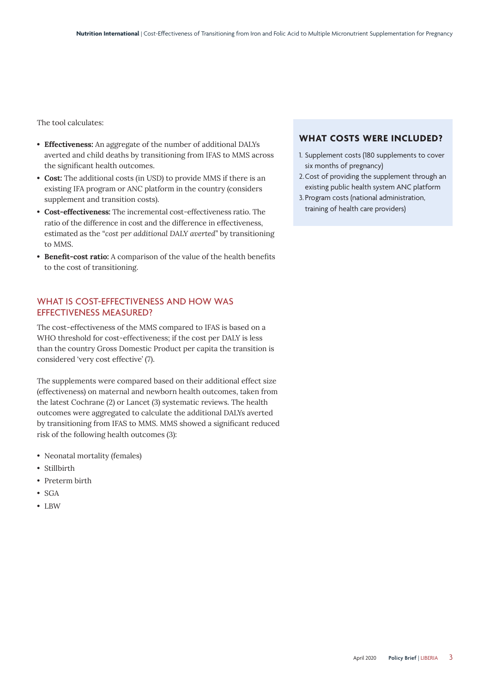The tool calculates:

- **• Effectiveness:** An aggregate of the number of additional DALYs averted and child deaths by transitioning from IFAS to MMS across the significant health outcomes.
- **• Cost:** The additional costs (in USD) to provide MMS if there is an existing IFA program or ANC platform in the country (considers supplement and transition costs).
- **• Cost-effectiveness:** The incremental cost-effectiveness ratio. The ratio of the difference in cost and the difference in effectiveness, estimated as the "*cost per additional DALY averted*" by transitioning to MMS.
- **• Benefit-cost ratio:** A comparison of the value of the health benefits to the cost of transitioning.

# WHAT IS COST-EFFECTIVENESS AND HOW WAS EFFECTIVENESS MEASURED?

The cost-effectiveness of the MMS compared to IFAS is based on a WHO threshold for cost-effectiveness; if the cost per DALY is less than the country Gross Domestic Product per capita the transition is considered 'very cost effective' (7).

The supplements were compared based on their additional effect size (effectiveness) on maternal and newborn health outcomes, taken from the latest Cochrane (2) or Lancet (3) systematic reviews. The health outcomes were aggregated to calculate the additional DALYs averted by transitioning from IFAS to MMS. MMS showed a significant reduced risk of the following health outcomes (3):

- Neonatal mortality (females)
- Stillbirth
- Preterm birth
- SGA
- LBW

#### **WHAT COSTS WERE INCLUDED?**

- 1. Supplement costs (180 supplements to cover six months of pregnancy)
- 2.Cost of providing the supplement through an existing public health system ANC platform
- 3. Program costs (national administration, training of health care providers)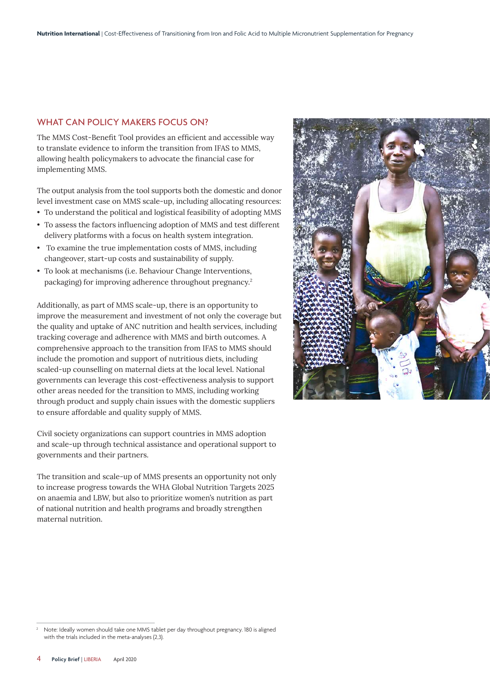#### WHAT CAN POLICY MAKERS FOCUS ON?

The MMS Cost-Benefit Tool provides an efficient and accessible way to translate evidence to inform the transition from IFAS to MMS, allowing health policymakers to advocate the financial case for implementing MMS.

The output analysis from the tool supports both the domestic and donor level investment case on MMS scale-up, including allocating resources:

- To understand the political and logistical feasibility of adopting MMS
- To assess the factors influencing adoption of MMS and test different delivery platforms with a focus on health system integration.
- To examine the true implementation costs of MMS, including changeover, start-up costs and sustainability of supply.
- To look at mechanisms (i.e. Behaviour Change Interventions, packaging) for improving adherence throughout pregnancy.<sup>2</sup>

Additionally, as part of MMS scale-up, there is an opportunity to improve the measurement and investment of not only the coverage but the quality and uptake of ANC nutrition and health services, including tracking coverage and adherence with MMS and birth outcomes. A comprehensive approach to the transition from IFAS to MMS should include the promotion and support of nutritious diets, including scaled-up counselling on maternal diets at the local level. National governments can leverage this cost-effectiveness analysis to support other areas needed for the transition to MMS, including working through product and supply chain issues with the domestic suppliers to ensure affordable and quality supply of MMS.

Civil society organizations can support countries in MMS adoption and scale-up through technical assistance and operational support to governments and their partners.

The transition and scale-up of MMS presents an opportunity not only to increase progress towards the WHA Global Nutrition Targets 2025 on anaemia and LBW, but also to prioritize women's nutrition as part of national nutrition and health programs and broadly strengthen maternal nutrition.



<sup>2</sup> Note: Ideally women should take one MMS tablet per day throughout pregnancy. 180 is aligned with the trials included in the meta-analyses (2,3).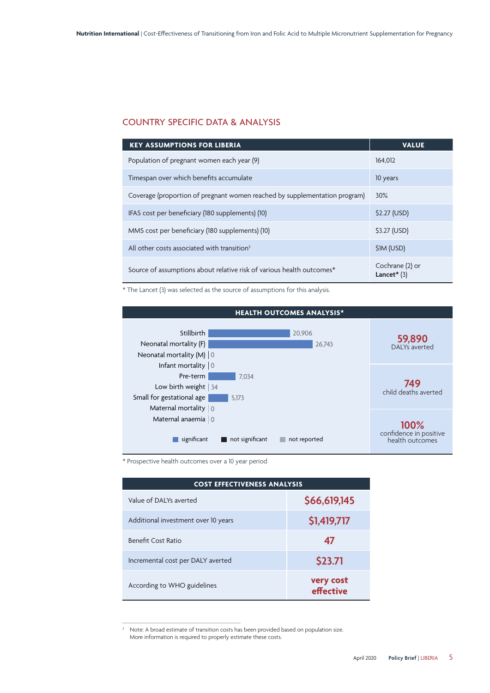# COUNTRY SPECIFIC DATA & ANALYSIS

| <b>KEY ASSUMPTIONS FOR LIBERIA</b>                                         | <b>VALUE</b>                     |
|----------------------------------------------------------------------------|----------------------------------|
| Population of pregnant women each year (9)                                 | 164.012                          |
| Timespan over which benefits accumulate                                    | 10 years                         |
| Coverage (proportion of pregnant women reached by supplementation program) | $30\%$                           |
| IFAS cost per beneficiary (180 supplements) (10)                           | \$2.27 (USD)                     |
| MMS cost per beneficiary (180 supplements) (10)                            | \$3.27 (USD)                     |
| All other costs associated with transition <sup>3</sup>                    | \$1M (USD)                       |
| Source of assumptions about relative risk of various health outcomes*      | Cochrane (2) or<br>Lancet $*(3)$ |

\* The Lancet (3) was selected as the source of assumptions for this analysis.



\* Prospective health outcomes over a 10 year period

| <b>COST EFFECTIVENESS ANALYSIS</b>  |                        |  |
|-------------------------------------|------------------------|--|
| Value of DAI Ys averted             | \$66,619,145           |  |
| Additional investment over 10 years | \$1,419,717            |  |
| <b>Benefit Cost Ratio</b>           | 47                     |  |
| Incremental cost per DALY averted   | \$23.71                |  |
| According to WHO guidelines         | very cost<br>effective |  |

<sup>&</sup>lt;sup>3</sup> Note: A broad estimate of transition costs has been provided based on population size. More information is required to properly estimate these costs.